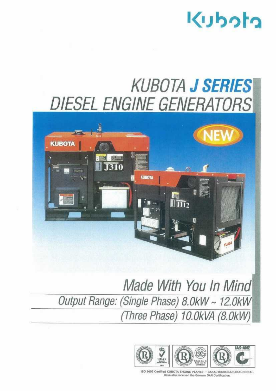

## KUBOTA J SERIES DIESEL ENGINE GENERATORS



Made With You In Mind! Output Range: (Single Phase) 8. OkW ~ 12. OkW (Three Phase) 10.OkVA (8.Okw)



ISO 9002 Certified KUBOTA ENGINE PLANTS - SAKAUTSUKUBA/SAKAI-RINKAI-Have also received the German DAR Certification.